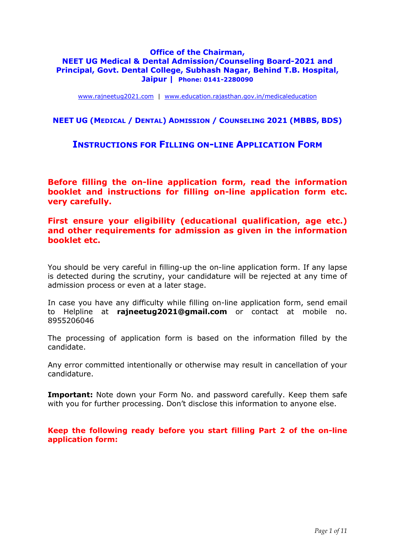### **Office of the Chairman, NEET UG Medical & Dental Admission/Counseling Board-2021 and Principal, Govt. Dental College, Subhash Nagar, Behind T.B. Hospital, Jaipur | Phone: 0141-2280090**

www.rajneetug2021.com | www.education.rajasthan.gov.in/medicaleducation

## **NEET UG (MEDICAL / DENTAL) ADMISSION / COUNSELING 2021 (MBBS, BDS)**

# **INSTRUCTIONS FOR FILLING ON-LINE APPLICATION FORM**

**Before filling the on-line application form, read the information booklet and instructions for filling on-line application form etc. very carefully.** 

**First ensure your eligibility (educational qualification, age etc.) and other requirements for admission as given in the information booklet etc.**

You should be very careful in filling-up the on-line application form. If any lapse is detected during the scrutiny, your candidature will be rejected at any time of admission process or even at a later stage.

In case you have any difficulty while filling on-line application form, send email to Helpline at **rajneetug2021@gmail.com** or contact at mobile no. 8955206046

The processing of application form is based on the information filled by the candidate.

Any error committed intentionally or otherwise may result in cancellation of your candidature.

**Important:** Note down your Form No. and password carefully. Keep them safe with you for further processing. Don't disclose this information to anyone else.

**Keep the following ready before you start filling Part 2 of the on-line application form:**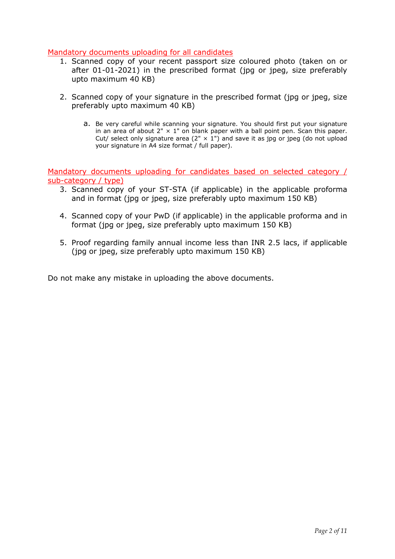## Mandatory documents uploading for all candidates

- 1. Scanned copy of your recent passport size coloured photo (taken on or after 01-01-2021) in the prescribed format (jpg or jpeg, size preferably upto maximum 40 KB)
- 2. Scanned copy of your signature in the prescribed format (jpg or jpeg, size preferably upto maximum 40 KB)
	- a. Be very careful while scanning your signature. You should first put your signature in an area of about  $2" \times 1"$  on blank paper with a ball point pen. Scan this paper. Cut/ select only signature area (2"  $\times$  1") and save it as jpg or jpeg (do not upload your signature in A4 size format / full paper).

Mandatory documents uploading for candidates based on selected category / sub-category / type)

- 3. Scanned copy of your ST-STA (if applicable) in the applicable proforma and in format (jpg or jpeg, size preferably upto maximum 150 KB)
- 4. Scanned copy of your PwD (if applicable) in the applicable proforma and in format (jpg or jpeg, size preferably upto maximum 150 KB)
- 5. Proof regarding family annual income less than INR 2.5 lacs, if applicable (jpg or jpeg, size preferably upto maximum 150 KB)

Do not make any mistake in uploading the above documents.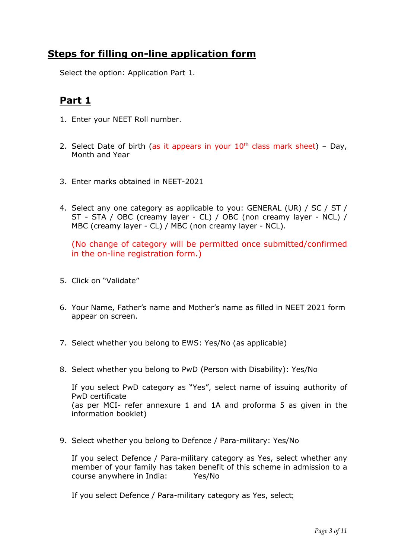# **Steps for filling on-line application form**

Select the option: Application Part 1.

# **Part 1**

- 1. Enter your NEET Roll number.
- 2. Select Date of birth (as it appears in your  $10<sup>th</sup>$  class mark sheet) Day, Month and Year
- 3. Enter marks obtained in NEET-2021
- 4. Select any one category as applicable to you: GENERAL (UR) / SC / ST / ST - STA / OBC (creamy layer - CL) / OBC (non creamy layer - NCL) / MBC (creamy layer - CL) / MBC (non creamy layer - NCL).

(No change of category will be permitted once submitted/confirmed in the on-line registration form.)

- 5. Click on "Validate"
- 6. Your Name, Father's name and Mother's name as filled in NEET 2021 form appear on screen.
- 7. Select whether you belong to EWS: Yes/No (as applicable)
- 8. Select whether you belong to PwD (Person with Disability): Yes/No

If you select PwD category as "Yes", select name of issuing authority of PwD certificate (as per MCI- refer annexure 1 and 1A and proforma 5 as given in the information booklet)

9. Select whether you belong to Defence / Para-military: Yes/No

If you select Defence / Para-military category as Yes, select whether any member of your family has taken benefit of this scheme in admission to a course anywhere in India: Yes/No

If you select Defence / Para-military category as Yes, select;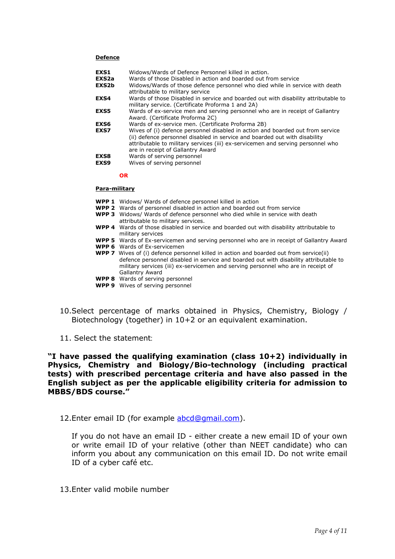#### **Defence**

| EXS1<br>EXS <sub>2a</sub><br>EXS2b | Widows/Wards of Defence Personnel killed in action.<br>Wards of those Disabled in action and boarded out from service<br>Widows/Wards of those defence personnel who died while in service with death<br>attributable to military service                                            |
|------------------------------------|--------------------------------------------------------------------------------------------------------------------------------------------------------------------------------------------------------------------------------------------------------------------------------------|
| EXS4                               | Wards of those Disabled in service and boarded out with disability attributable to<br>military service. (Certificate Proforma 1 and 2A)                                                                                                                                              |
| <b>EXS5</b>                        | Wards of ex-service men and serving personnel who are in receipt of Gallantry<br>Award. (Certificate Proforma 2C)                                                                                                                                                                    |
| EXS6                               | Wards of ex-service men. (Certificate Proforma 2B)                                                                                                                                                                                                                                   |
| EXS7                               | Wives of (i) defence personnel disabled in action and boarded out from service<br>(ii) defence personnel disabled in service and boarded out with disability<br>attributable to military services (iii) ex-servicemen and serving personnel who<br>are in receipt of Gallantry Award |
| <b>EXS8</b><br>EXS9                | Wards of serving personnel<br>Wives of serving personnel                                                                                                                                                                                                                             |

#### **OR**

#### **Para-military**

- **WPP 1** Widows/ Wards of defence personnel killed in action
- **WPP 2** Wards of personnel disabled in action and boarded out from service
- **WPP 3** Widows/ Wards of defence personnel who died while in service with death
- attributable to military services.
- **WPP 4** Wards of those disabled in service and boarded out with disability attributable to military services
- **WPP 5** Wards of Ex-servicemen and serving personnel who are in receipt of Gallantry Award
- **WPP 6** Wards of Ex-servicemen
- **WPP 7** Wives of (i) defence personnel killed in action and boarded out from service(ii) defence personnel disabled in service and boarded out with disability attributable to military services (iii) ex-servicemen and serving personnel who are in receipt of Gallantry Award
- **WPP 8** Wards of serving personnel
- **WPP 9** Wives of serving personnel
- 10.Select percentage of marks obtained in Physics, Chemistry, Biology / Biotechnology (together) in 10+2 or an equivalent examination.
- 11. Select the statement:

**"I have passed the qualifying examination (class 10+2) individually in Physics, Chemistry and Biology/Bio-technology (including practical tests) with prescribed percentage criteria and have also passed in the English subject as per the applicable eligibility criteria for admission to MBBS/BDS course."** 

12.Enter email ID (for example abcd@gmail.com).

If you do not have an email ID - either create a new email ID of your own or write email ID of your relative (other than NEET candidate) who can inform you about any communication on this email ID. Do not write email ID of a cyber café etc.

13.Enter valid mobile number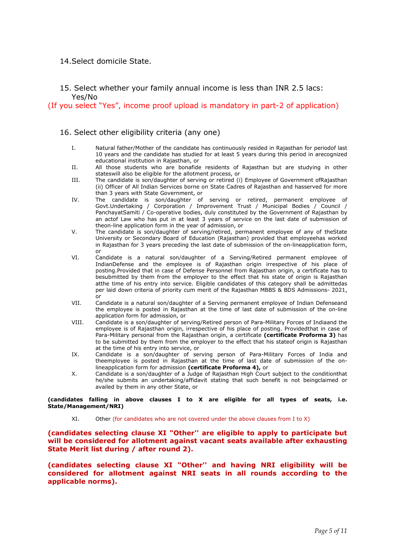### 14.Select domicile State.

### 15. Select whether your family annual income is less than INR 2.5 lacs: Yes/No

(If you select "Yes", income proof upload is mandatory in part-2 of application)

### 16. Select other eligibility criteria (any one)

- I. Natural father/Mother of the candidate has continuously resided in Rajasthan for periodof last 10 years and the candidate has studied for at least 5 years during this period in arecognized educational institution in Rajasthan, or
- II. All those students who are bonafide residents of Rajasthan but are studying in other stateswill also be eligible for the allotment process, or
- III. The candidate is son/daughter of serving or retired (i) Employee of Government ofRajasthan (ii) Officer of All Indian Services borne on State Cadres of Rajasthan and hasserved for more than 3 years with State Government, or
- IV. The candidate is son/daughter of serving or retired, permanent employee of Govt.Undertaking / Corporation / Improvement Trust / Municipal Bodies / Council / PanchayatSamiti / Co-operative bodies, duly constituted by the Government of Rajasthan by an actof Law who has put in at least 3 years of service on the last date of submission of theon-line application form in the year of admission, or
- V. The candidate is son/daughter of serving/retired, permanent employee of any of theState University or Secondary Board of Education (Rajasthan) provided that employeehas worked in Rajasthan for 3 years preceding the last date of submission of the on-lineapplication form, or
- VI. Candidate is a natural son/daughter of a Serving/Retired permanent employee of IndianDefense and the employee is of Rajasthan origin irrespective of his place of posting.Provided that in case of Defense Personnel from Rajasthan origin, a certificate has to besubmitted by them from the employer to the effect that his state of origin is Rajasthan atthe time of his entry into service. Eligible candidates of this category shall be admittedas per laid down criteria of priority cum merit of the Rajasthan MBBS & BDS Admissions- 2021, or
- VII. Candidate is a natural son/daughter of a Serving permanent employee of Indian Defenseand the employee is posted in Rajasthan at the time of last date of submission of the on-line application form for admission, or
- VIII. Candidate is a son/daughter of serving/Retired person of Para-Military Forces of Indiaand the employee is of Rajasthan origin, irrespective of his place of posting. Providedthat in case of Para-Military personal from the Rajasthan origin, a certificate **(certificate Proforma 3)** has to be submitted by them from the employer to the effect that his stateof origin is Rajasthan at the time of his entry into service, or
- IX. Candidate is a son/daughter of serving person of Para-Military Forces of India and theemployee is posted in Rajasthan at the time of last date of submission of the onlineapplication form for admission **(certificate Proforma 4),** or
- X. Candidate is a son/daughter of a Judge of Rajasthan High Court subject to the conditionthat he/she submits an undertaking/affidavit stating that such benefit is not beingclaimed or availed by them in any other State, or

**(candidates falling in above clauses I to X are eligible for all types of seats, i.e. State/Management/NRI)** 

XI. Other (for candidates who are not covered under the above clauses from I to X)

### **(candidates selecting clause XI "Other'' are eligible to apply to participate but will be considered for allotment against vacant seats available after exhausting State Merit list during / after round 2).**

**(candidates selecting clause XI "Other'' and having NRI eligibility will be considered for allotment against NRI seats in all rounds according to the applicable norms).**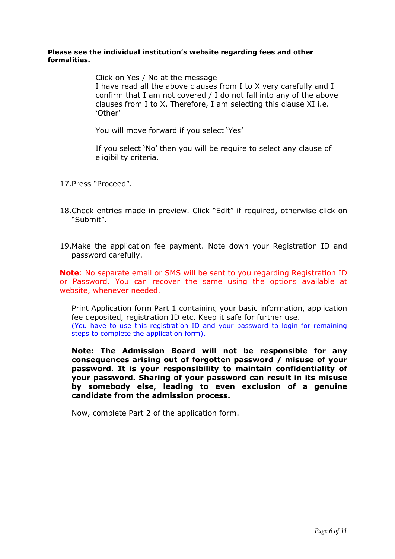### **Please see the individual institution's website regarding fees and other formalities.**

Click on Yes / No at the message I have read all the above clauses from I to X very carefully and I confirm that I am not covered / I do not fall into any of the above clauses from I to X. Therefore, I am selecting this clause XI i.e. 'Other'

You will move forward if you select 'Yes'

If you select 'No' then you will be require to select any clause of eligibility criteria.

- 17.Press "Proceed".
- 18.Check entries made in preview. Click "Edit" if required, otherwise click on "Submit".
- 19.Make the application fee payment. Note down your Registration ID and password carefully.

**Note**: No separate email or SMS will be sent to you regarding Registration ID or Password. You can recover the same using the options available at website, whenever needed.

Print Application form Part 1 containing your basic information, application fee deposited, registration ID etc. Keep it safe for further use. (You have to use this registration ID and your password to login for remaining steps to complete the application form).

**Note: The Admission Board will not be responsible for any consequences arising out of forgotten password / misuse of your password. It is your responsibility to maintain confidentiality of your password. Sharing of your password can result in its misuse by somebody else, leading to even exclusion of a genuine candidate from the admission process.** 

Now, complete Part 2 of the application form.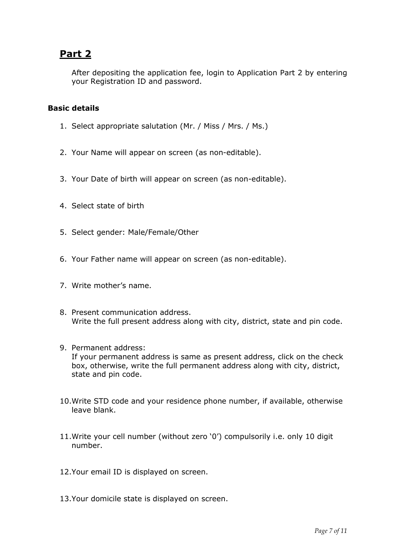# **Part 2**

After depositing the application fee, login to Application Part 2 by entering your Registration ID and password.

## **Basic details**

- 1. Select appropriate salutation (Mr. / Miss / Mrs. / Ms.)
- 2. Your Name will appear on screen (as non-editable).
- 3. Your Date of birth will appear on screen (as non-editable).
- 4. Select state of birth
- 5. Select gender: Male/Female/Other
- 6. Your Father name will appear on screen (as non-editable).
- 7. Write mother's name.
- 8. Present communication address. Write the full present address along with city, district, state and pin code.
- 9. Permanent address: If your permanent address is same as present address, click on the check box, otherwise, write the full permanent address along with city, district, state and pin code.
- 10.Write STD code and your residence phone number, if available, otherwise leave blank.
- 11.Write your cell number (without zero '0') compulsorily i.e. only 10 digit number.
- 12.Your email ID is displayed on screen.
- 13.Your domicile state is displayed on screen.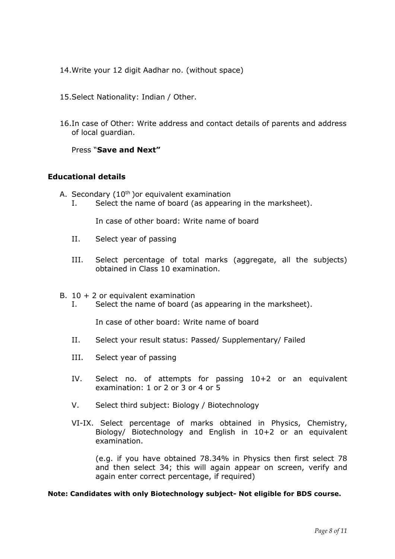- 14.Write your 12 digit Aadhar no. (without space)
- 15.Select Nationality: Indian / Other.
- 16.In case of Other: Write address and contact details of parents and address of local guardian.

## Press "**Save and Next"**

## **Educational details**

- A. Secondary  $(10<sup>th</sup>)$  or equivalent examination
	- I. Select the name of board (as appearing in the marksheet).

In case of other board: Write name of board

- II. Select year of passing
- III. Select percentage of total marks (aggregate, all the subjects) obtained in Class 10 examination.
- B.  $10 + 2$  or equivalent examination
	- I. Select the name of board (as appearing in the marksheet).

In case of other board: Write name of board

- II. Select your result status: Passed/ Supplementary/ Failed
- III. Select year of passing
- IV. Select no. of attempts for passing 10+2 or an equivalent examination: 1 or 2 or 3 or 4 or 5
- V. Select third subject: Biology / Biotechnology
- VI-IX. Select percentage of marks obtained in Physics, Chemistry, Biology/ Biotechnology and English in 10+2 or an equivalent examination.

(e.g. if you have obtained 78.34% in Physics then first select 78 and then select 34; this will again appear on screen, verify and again enter correct percentage, if required)

### **Note: Candidates with only Biotechnology subject- Not eligible for BDS course.**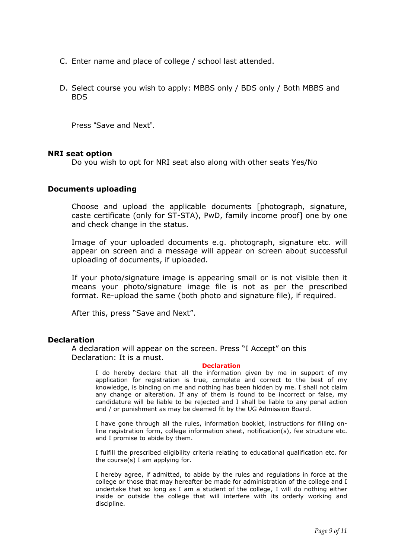- C. Enter name and place of college / school last attended.
- D. Select course you wish to apply: MBBS only / BDS only / Both MBBS and BDS

Press "Save and Next".

### **NRI seat option**

Do you wish to opt for NRI seat also along with other seats Yes/No

### **Documents uploading**

Choose and upload the applicable documents [photograph, signature, caste certificate (only for ST-STA), PwD, family income proof] one by one and check change in the status.

Image of your uploaded documents e.g. photograph, signature etc. will appear on screen and a message will appear on screen about successful uploading of documents, if uploaded.

If your photo/signature image is appearing small or is not visible then it means your photo/signature image file is not as per the prescribed format. Re-upload the same (both photo and signature file), if required.

After this, press "Save and Next".

### **Declaration**

A declaration will appear on the screen. Press "I Accept" on this Declaration: It is a must.

### **Declaration**

I do hereby declare that all the information given by me in support of my application for registration is true, complete and correct to the best of my knowledge, is binding on me and nothing has been hidden by me. I shall not claim any change or alteration. If any of them is found to be incorrect or false, my candidature will be liable to be rejected and I shall be liable to any penal action and / or punishment as may be deemed fit by the UG Admission Board.

I have gone through all the rules, information booklet, instructions for filling online registration form, college information sheet, notification(s), fee structure etc. and I promise to abide by them.

I fulfill the prescribed eligibility criteria relating to educational qualification etc. for the course(s) I am applying for.

I hereby agree, if admitted, to abide by the rules and regulations in force at the college or those that may hereafter be made for administration of the college and I undertake that so long as I am a student of the college, I will do nothing either inside or outside the college that will interfere with its orderly working and discipline.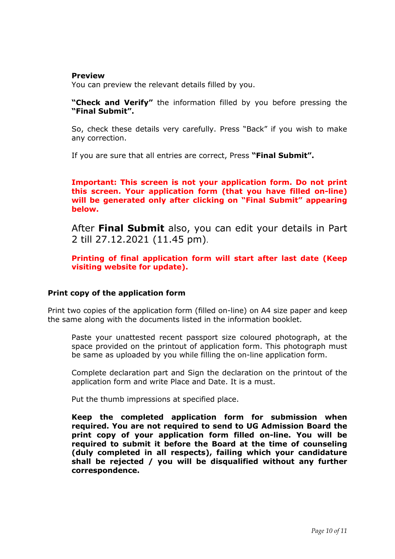### **Preview**

You can preview the relevant details filled by you.

**"Check and Verify"** the information filled by you before pressing the **"Final Submit".**

So, check these details very carefully. Press "Back" if you wish to make any correction.

If you are sure that all entries are correct, Press **"Final Submit".** 

**Important: This screen is not your application form. Do not print this screen. Your application form (that you have filled on-line) will be generated only after clicking on "Final Submit" appearing below.** 

After **Final Submit** also, you can edit your details in Part 2 till 27.12.2021 (11.45 pm).

**Printing of final application form will start after last date (Keep visiting website for update).** 

## **Print copy of the application form**

Print two copies of the application form (filled on-line) on A4 size paper and keep the same along with the documents listed in the information booklet.

Paste your unattested recent passport size coloured photograph, at the space provided on the printout of application form. This photograph must be same as uploaded by you while filling the on-line application form.

Complete declaration part and Sign the declaration on the printout of the application form and write Place and Date. It is a must.

Put the thumb impressions at specified place.

**Keep the completed application form for submission when required. You are not required to send to UG Admission Board the print copy of your application form filled on-line. You will be required to submit it before the Board at the time of counseling (duly completed in all respects), failing which your candidature shall be rejected / you will be disqualified without any further correspondence.**